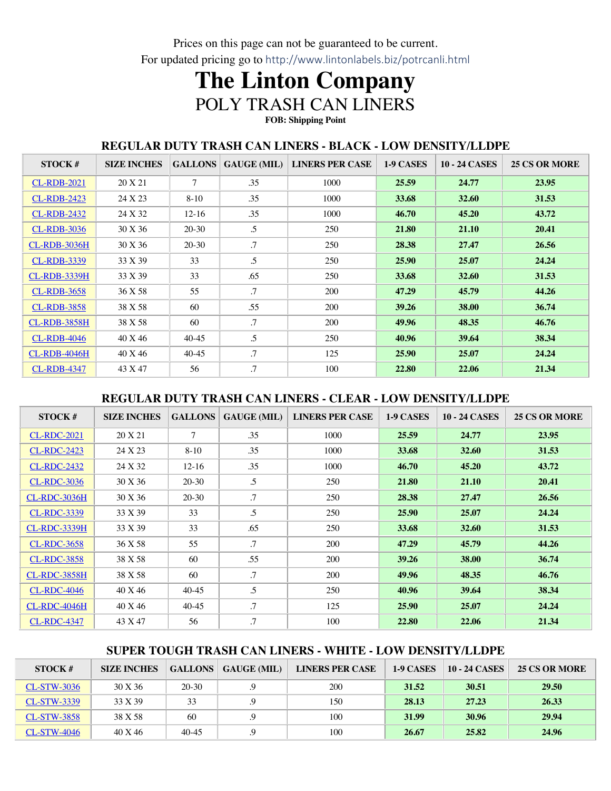Prices on this page can not be guaranteed to be current. For updated pricing go to http://www.lintonlabels.biz/potrcanli.html

# **The Linton Company** POLY TRASH CAN LINERS **FOB: Shipping Point**

#### **REGULAR DUTY TRASH CAN LINERS - BLACK - LOW DENSITY/LLDPE**

| STOCK#              | <b>SIZE INCHES</b> | <b>GALLONS</b> | $GAUGE$ (MIL) $\parallel$ | <b>LINERS PER CASE</b> | 1-9 CASES | <b>10 - 24 CASES</b> | <b>25 CS OR MORE</b> |
|---------------------|--------------------|----------------|---------------------------|------------------------|-----------|----------------------|----------------------|
| <b>CL-RDB-2021</b>  | 20 X 21            | $\tau$         | .35                       | 1000                   | 25.59     | 24.77                | 23.95                |
| <b>CL-RDB-2423</b>  | 24 X 23            | $8-10$         | .35                       | 1000                   | 33.68     | 32.60                | 31.53                |
| <b>CL-RDB-2432</b>  | 24 X 32            | $12-16$        | .35                       | 1000                   | 46.70     | 45.20                | 43.72                |
| <b>CL-RDB-3036</b>  | 30 X 36            | 20-30          | .5                        | 250                    | 21.80     | 21.10                | 20.41                |
| <b>CL-RDB-3036H</b> | 30 X 36            | $20 - 30$      | .7                        | 250                    | 28.38     | 27.47                | 26.56                |
| <b>CL-RDB-3339</b>  | 33 X 39            | 33             | .5                        | 250                    | 25.90     | 25.07                | 24.24                |
| <b>CL-RDB-3339H</b> | 33 X 39            | 33             | .65                       | 250                    | 33.68     | 32.60                | 31.53                |
| <b>CL-RDB-3658</b>  | 36 X 58            | 55             | $\cdot$ .7                | 200                    | 47.29     | 45.79                | 44.26                |
| <b>CL-RDB-3858</b>  | 38 X 58            | 60             | .55                       | 200                    | 39.26     | 38.00                | 36.74                |
| <b>CL-RDB-3858H</b> | 38 X 58            | 60             | $\cdot$ 7                 | 200                    | 49.96     | 48.35                | 46.76                |
| <b>CL-RDB-4046</b>  | 40 X 46            | $40-45$        | .5                        | 250                    | 40.96     | 39.64                | 38.34                |
| <b>CL-RDB-4046H</b> | 40 X 46            | $40-45$        | .7                        | 125                    | 25.90     | 25.07                | 24.24                |
| <b>CL-RDB-4347</b>  | 43 X 47            | 56             | .7                        | 100                    | 22.80     | 22.06                | 21.34                |

### **REGULAR DUTY TRASH CAN LINERS - CLEAR - LOW DENSITY/LLDPE**

| STOCK#              | <b>SIZE INCHES</b> | <b>GALLONS</b> | <b>GAUGE (MIL)</b> | <b>LINERS PER CASE</b> | 1-9 CASES | <b>10 - 24 CASES</b> | <b>25 CS OR MORE</b> |
|---------------------|--------------------|----------------|--------------------|------------------------|-----------|----------------------|----------------------|
| <b>CL-RDC-2021</b>  | 20 X 21            | $\overline{7}$ | .35                | 1000                   | 25.59     | 24.77                | 23.95                |
| <b>CL-RDC-2423</b>  | 24 X 23            | $8 - 10$       | .35                | 1000                   | 33.68     | 32.60                | 31.53                |
| <b>CL-RDC-2432</b>  | 24 X 32            | $12 - 16$      | .35                | 1000                   | 46.70     | 45.20                | 43.72                |
| <b>CL-RDC-3036</b>  | 30 X 36            | $20-30$        | .5                 | 250                    | 21.80     | 21.10                | 20.41                |
| <b>CL-RDC-3036H</b> | 30 X 36            | $20-30$        | $\cdot$ .7         | 250                    | 28.38     | 27.47                | 26.56                |
| <b>CL-RDC-3339</b>  | 33 X 39            | 33             | $\cdot$ .5         | 250                    | 25.90     | 25.07                | 24.24                |
| <b>CL-RDC-3339H</b> | 33 X 39            | 33             | .65                | 250                    | 33.68     | 32.60                | 31.53                |
| <b>CL-RDC-3658</b>  | 36 X 58            | 55             | $\cdot$ .7         | 200                    | 47.29     | 45.79                | 44.26                |
| <b>CL-RDC-3858</b>  | 38 X 58            | 60             | .55                | 200                    | 39.26     | 38.00                | 36.74                |
| <b>CL-RDC-3858H</b> | 38 X 58            | 60             | $\cdot$ .7         | 200                    | 49.96     | 48.35                | 46.76                |
| <b>CL-RDC-4046</b>  | 40 X 46            | $40-45$        | $\mathfrak{L}$     | 250                    | 40.96     | 39.64                | 38.34                |
| <b>CL-RDC-4046H</b> | 40 X 46            | $40-45$        | .7                 | 125                    | 25.90     | 25.07                | 24.24                |
| <b>CL-RDC-4347</b>  | 43 X 47            | 56             | .7                 | 100                    | 22.80     | 22.06                | 21.34                |

## **SUPER TOUGH TRASH CAN LINERS - WHITE - LOW DENSITY/LLDPE**

| STOCK#             | <b>SIZE INCHES</b> |           | <b>GALLONS</b>   <b>GAUGE</b> (MIL) | <b>LINERS PER CASE</b> | 1-9 CASES | <b>10 - 24 CASES</b> | <b>25 CS OR MORE</b> |
|--------------------|--------------------|-----------|-------------------------------------|------------------------|-----------|----------------------|----------------------|
| <b>CL-STW-3036</b> | 30 X 36            | $20-30$   |                                     | <b>200</b>             | 31.52     | 30.51                | 29.50                |
| <b>CL-STW-3339</b> | 33 X 39            | 33        | 9.                                  | 150                    | 28.13     | 27.23                | 26.33                |
| <b>CL-STW-3858</b> | 38 X 58            | 60        |                                     | 100                    | 31.99     | 30.96                | 29.94                |
| <b>CL-STW-4046</b> | 40 X 46            | $40 - 45$ |                                     | 100                    | 26.67     | 25.82                | 24.96                |